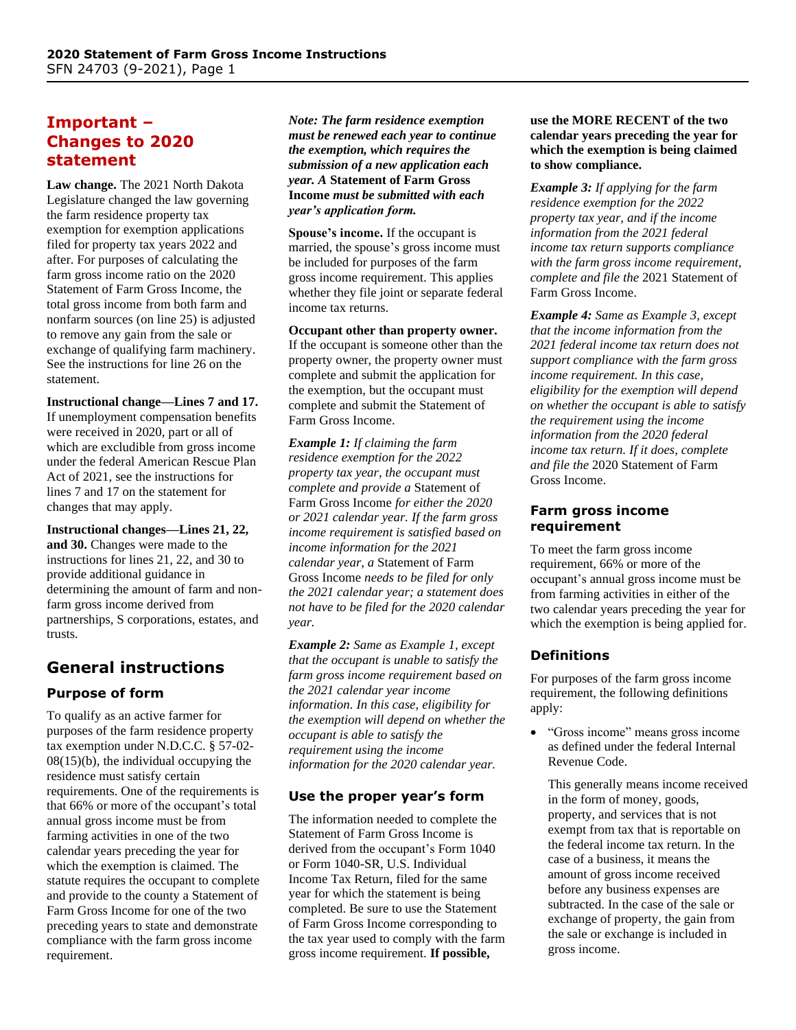## **Important – Changes to 2020 statement**

**Law change.** The 2021 North Dakota Legislature changed the law governing the farm residence property tax exemption for exemption applications filed for property tax years 2022 and after. For purposes of calculating the farm gross income ratio on the 2020 Statement of Farm Gross Income, the total gross income from both farm and nonfarm sources (on line 25) is adjusted to remove any gain from the sale or exchange of qualifying farm machinery. See the instructions for line 26 on the statement.

**Instructional change—Lines 7 and 17.**  If unemployment compensation benefits were received in 2020, part or all of which are excludible from gross income under the federal American Rescue Plan Act of 2021, see the instructions for lines 7 and 17 on the statement for changes that may apply.

**Instructional changes—Lines 21, 22, and 30.** Changes were made to the instructions for lines 21, 22, and 30 to provide additional guidance in determining the amount of farm and nonfarm gross income derived from partnerships, S corporations, estates, and trusts.

# **General instructions**

### **Purpose of form**

To qualify as an active farmer for purposes of the farm residence property tax exemption under N.D.C.C. § 57-02-  $08(15)(b)$ , the individual occupying the residence must satisfy certain requirements. One of the requirements is that 66% or more of the occupant's total annual gross income must be from farming activities in one of the two calendar years preceding the year for which the exemption is claimed. The statute requires the occupant to complete and provide to the county a Statement of Farm Gross Income for one of the two preceding years to state and demonstrate compliance with the farm gross income requirement.

*Note: The farm residence exemption must be renewed each year to continue the exemption, which requires the submission of a new application each year. A* **Statement of Farm Gross Income** *must be submitted with each year's application form.*

**Spouse's income.** If the occupant is married, the spouse's gross income must be included for purposes of the farm gross income requirement. This applies whether they file joint or separate federal income tax returns.

**Occupant other than property owner.** If the occupant is someone other than the property owner, the property owner must complete and submit the application for the exemption, but the occupant must complete and submit the Statement of Farm Gross Income.

*Example 1: If claiming the farm residence exemption for the 2022 property tax year, the occupant must complete and provide a* Statement of Farm Gross Income *for either the 2020 or 2021 calendar year. If the farm gross income requirement is satisfied based on income information for the 2021 calendar year, a* Statement of Farm Gross Income *needs to be filed for only the 2021 calendar year; a statement does not have to be filed for the 2020 calendar year.*

*Example 2: Same as Example 1, except that the occupant is unable to satisfy the farm gross income requirement based on the 2021 calendar year income information. In this case, eligibility for the exemption will depend on whether the occupant is able to satisfy the requirement using the income information for the 2020 calendar year.*

#### **Use the proper year's form**

The information needed to complete the Statement of Farm Gross Income is derived from the occupant's Form 1040 or Form 1040-SR, U.S. Individual Income Tax Return, filed for the same year for which the statement is being completed. Be sure to use the Statement of Farm Gross Income corresponding to the tax year used to comply with the farm gross income requirement. **If possible,** 

#### **use the MORE RECENT of the two calendar years preceding the year for which the exemption is being claimed to show compliance.**

*Example 3: If applying for the farm residence exemption for the 2022 property tax year, and if the income information from the 2021 federal income tax return supports compliance with the farm gross income requirement, complete and file the* 2021 Statement of Farm Gross Income.

*Example 4: Same as Example 3, except that the income information from the 2021 federal income tax return does not support compliance with the farm gross income requirement. In this case, eligibility for the exemption will depend on whether the occupant is able to satisfy the requirement using the income information from the 2020 federal income tax return. If it does, complete and file the* 2020 Statement of Farm Gross Income.

### **Farm gross income requirement**

To meet the farm gross income requirement, 66% or more of the occupant's annual gross income must be from farming activities in either of the two calendar years preceding the year for which the exemption is being applied for.

### **Definitions**

For purposes of the farm gross income requirement, the following definitions apply:

• "Gross income" means gross income as defined under the federal Internal Revenue Code.

This generally means income received in the form of money, goods, property, and services that is not exempt from tax that is reportable on the federal income tax return. In the case of a business, it means the amount of gross income received before any business expenses are subtracted. In the case of the sale or exchange of property, the gain from the sale or exchange is included in gross income.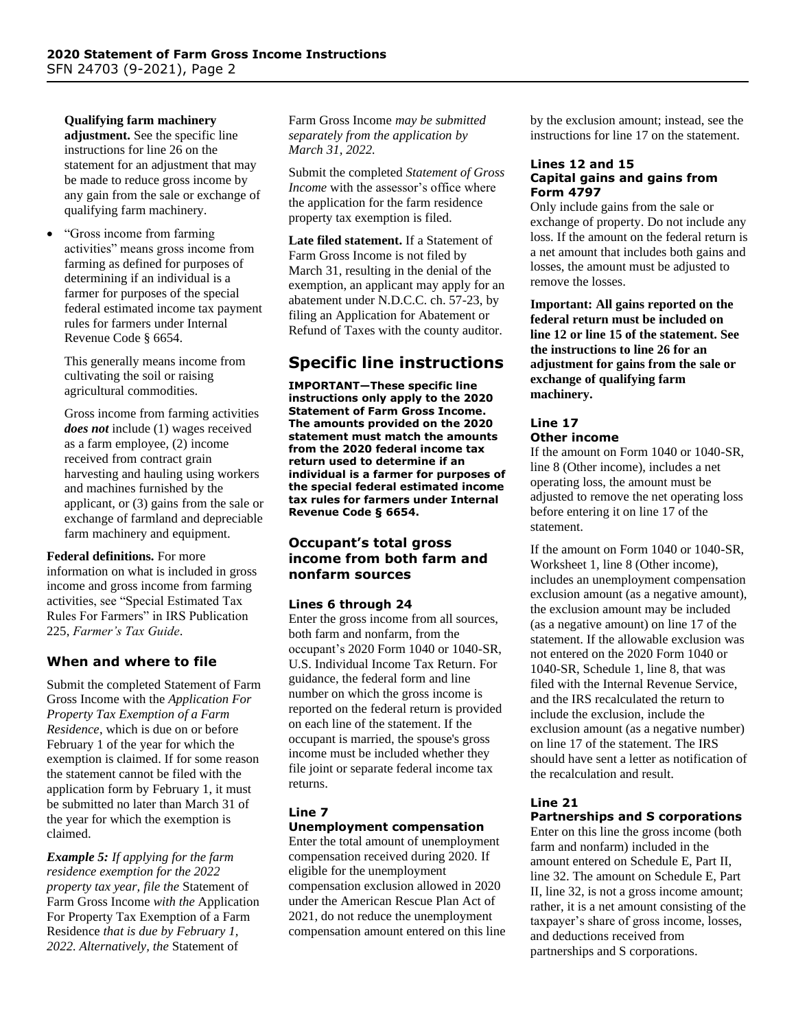**Qualifying farm machinery** 

**adjustment.** See the specific line instructions for line 26 on the statement for an adjustment that may be made to reduce gross income by any gain from the sale or exchange of qualifying farm machinery.

• "Gross income from farming activities" means gross income from farming as defined for purposes of determining if an individual is a farmer for purposes of the special federal estimated income tax payment rules for farmers under Internal Revenue Code § 6654.

This generally means income from cultivating the soil or raising agricultural commodities.

Gross income from farming activities *does not* include (1) wages received as a farm employee, (2) income received from contract grain harvesting and hauling using workers and machines furnished by the applicant, or (3) gains from the sale or exchange of farmland and depreciable farm machinery and equipment.

#### **Federal definitions.** For more

information on what is included in gross income and gross income from farming activities, see "Special Estimated Tax Rules For Farmers" in IRS Publication 225, *Farmer's Tax Guide*.

### **When and where to file**

Submit the completed Statement of Farm Gross Income with the *Application For Property Tax Exemption of a Farm Residence*, which is due on or before February 1 of the year for which the exemption is claimed. If for some reason the statement cannot be filed with the application form by February 1, it must be submitted no later than March 31 of the year for which the exemption is claimed.

*Example 5: If applying for the farm residence exemption for the 2022 property tax year, file the* Statement of Farm Gross Income *with the* Application For Property Tax Exemption of a Farm Residence *that is due by February 1, 2022. Alternatively, the* Statement of

Farm Gross Income *may be submitted separately from the application by March 31, 2022.*

Submit the completed *Statement of Gross Income* with the assessor's office where the application for the farm residence property tax exemption is filed.

**Late filed statement.** If a Statement of Farm Gross Income is not filed by March 31, resulting in the denial of the exemption, an applicant may apply for an abatement under N.D.C.C. ch. 57-23, by filing an Application for Abatement or Refund of Taxes with the county auditor.

## **Specific line instructions**

**IMPORTANT—These specific line instructions only apply to the 2020 Statement of Farm Gross Income. The amounts provided on the 2020 statement must match the amounts from the 2020 federal income tax return used to determine if an individual is a farmer for purposes of the special federal estimated income tax rules for farmers under Internal Revenue Code § 6654.**

#### **Occupant's total gross income from both farm and nonfarm sources**

#### **Lines 6 through 24**

Enter the gross income from all sources, both farm and nonfarm, from the occupant's 2020 Form 1040 or 1040-SR, U.S. Individual Income Tax Return. For guidance, the federal form and line number on which the gross income is reported on the federal return is provided on each line of the statement. If the occupant is married, the spouse's gross income must be included whether they file joint or separate federal income tax returns.

#### **Line 7 Unemployment compensation**

Enter the total amount of unemployment compensation received during 2020. If eligible for the unemployment compensation exclusion allowed in 2020 under the American Rescue Plan Act of 2021, do not reduce the unemployment compensation amount entered on this line by the exclusion amount; instead, see the instructions for line 17 on the statement.

#### **Lines 12 and 15 Capital gains and gains from Form 4797**

Only include gains from the sale or exchange of property. Do not include any loss. If the amount on the federal return is a net amount that includes both gains and losses, the amount must be adjusted to remove the losses.

**Important: All gains reported on the federal return must be included on line 12 or line 15 of the statement. See the instructions to line 26 for an adjustment for gains from the sale or exchange of qualifying farm machinery.**

## **Line 17**

### **Other income**

If the amount on Form 1040 or 1040-SR, line 8 (Other income), includes a net operating loss, the amount must be adjusted to remove the net operating loss before entering it on line 17 of the statement.

If the amount on Form 1040 or 1040-SR, Worksheet 1, line 8 (Other income), includes an unemployment compensation exclusion amount (as a negative amount), the exclusion amount may be included (as a negative amount) on line 17 of the statement. If the allowable exclusion was not entered on the 2020 Form 1040 or 1040-SR, Schedule 1, line 8, that was filed with the Internal Revenue Service, and the IRS recalculated the return to include the exclusion, include the exclusion amount (as a negative number) on line 17 of the statement. The IRS should have sent a letter as notification of the recalculation and result.

#### **Line 21**

### **Partnerships and S corporations**

Enter on this line the gross income (both farm and nonfarm) included in the amount entered on Schedule E, Part II, line 32. The amount on Schedule E, Part II, line 32, is not a gross income amount; rather, it is a net amount consisting of the taxpayer's share of gross income, losses, and deductions received from partnerships and S corporations.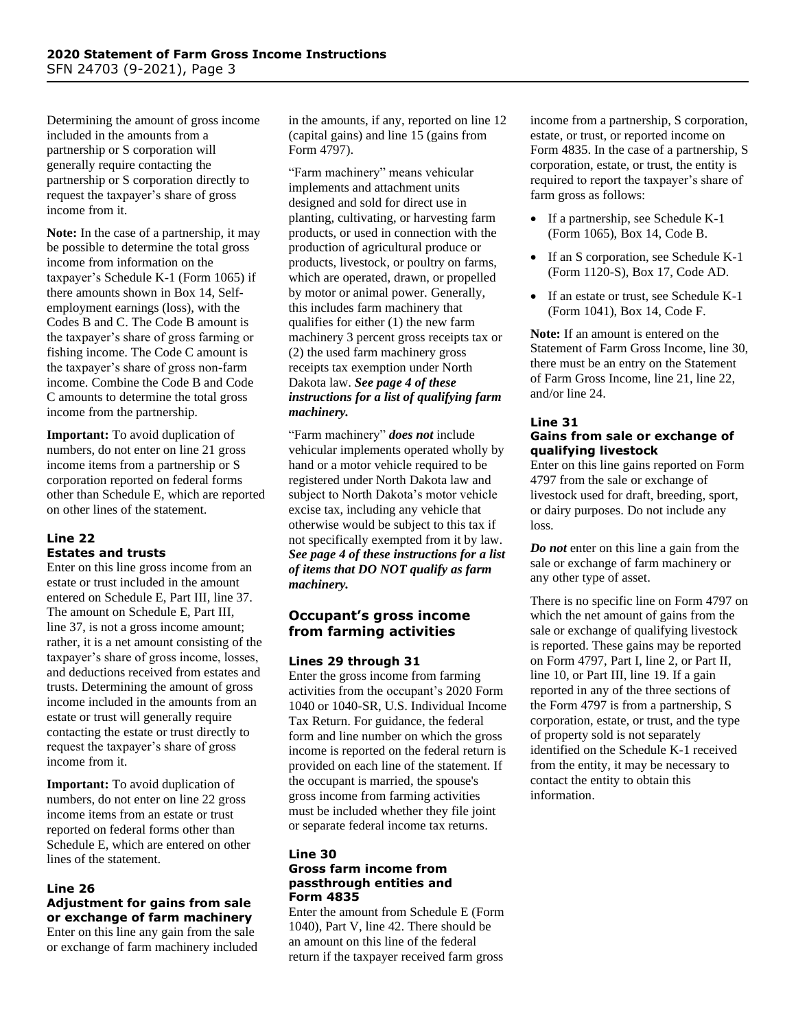Determining the amount of gross income included in the amounts from a partnership or S corporation will generally require contacting the partnership or S corporation directly to request the taxpayer's share of gross income from it.

**Note:** In the case of a partnership, it may be possible to determine the total gross income from information on the taxpayer's Schedule K-1 (Form 1065) if there amounts shown in Box 14, Selfemployment earnings (loss), with the Codes B and C. The Code B amount is the taxpayer's share of gross farming or fishing income. The Code C amount is the taxpayer's share of gross non-farm income. Combine the Code B and Code C amounts to determine the total gross income from the partnership.

**Important:** To avoid duplication of numbers, do not enter on line 21 gross income items from a partnership or S corporation reported on federal forms other than Schedule E, which are reported on other lines of the statement.

#### **Line 22 Estates and trusts**

Enter on this line gross income from an estate or trust included in the amount entered on Schedule E, Part III, line 37. The amount on Schedule E, Part III, line 37, is not a gross income amount; rather, it is a net amount consisting of the taxpayer's share of gross income, losses, and deductions received from estates and trusts. Determining the amount of gross income included in the amounts from an estate or trust will generally require contacting the estate or trust directly to request the taxpayer's share of gross income from it.

**Important:** To avoid duplication of numbers, do not enter on line 22 gross income items from an estate or trust reported on federal forms other than Schedule E, which are entered on other lines of the statement.

#### **Line 26 Adjustment for gains from sale or exchange of farm machinery**

Enter on this line any gain from the sale or exchange of farm machinery included in the amounts, if any, reported on line 12 (capital gains) and line 15 (gains from Form 4797).

"Farm machinery" means vehicular implements and attachment units designed and sold for direct use in planting, cultivating, or harvesting farm products, or used in connection with the production of agricultural produce or products, livestock, or poultry on farms, which are operated, drawn, or propelled by motor or animal power. Generally, this includes farm machinery that qualifies for either (1) the new farm machinery 3 percent gross receipts tax or (2) the used farm machinery gross receipts tax exemption under North Dakota law. *See page 4 of these instructions for a list of qualifying farm machinery.*

"Farm machinery" *does not* include vehicular implements operated wholly by hand or a motor vehicle required to be registered under North Dakota law and subject to North Dakota's motor vehicle excise tax, including any vehicle that otherwise would be subject to this tax if not specifically exempted from it by law. *See page 4 of these instructions for a list of items that DO NOT qualify as farm machinery.*

#### **Occupant's gross income from farming activities**

#### **Lines 29 through 31**

Enter the gross income from farming activities from the occupant's 2020 Form 1040 or 1040-SR, U.S. Individual Income Tax Return. For guidance, the federal form and line number on which the gross income is reported on the federal return is provided on each line of the statement. If the occupant is married, the spouse's gross income from farming activities must be included whether they file joint or separate federal income tax returns.

#### **Line 30 Gross farm income from passthrough entities and Form 4835**

Enter the amount from Schedule E (Form 1040), Part V, line 42. There should be an amount on this line of the federal return if the taxpayer received farm gross

income from a partnership, S corporation, estate, or trust, or reported income on Form 4835. In the case of a partnership, S corporation, estate, or trust, the entity is required to report the taxpayer's share of farm gross as follows:

- If a partnership, see Schedule K-1 (Form 1065), Box 14, Code B.
- If an S corporation, see Schedule K-1 (Form 1120-S), Box 17, Code AD.
- If an estate or trust, see Schedule K-1 (Form 1041), Box 14, Code F.

**Note:** If an amount is entered on the Statement of Farm Gross Income, line 30, there must be an entry on the Statement of Farm Gross Income, line 21, line 22, and/or line 24.

#### **Line 31**

### **Gains from sale or exchange of qualifying livestock**

Enter on this line gains reported on Form 4797 from the sale or exchange of livestock used for draft, breeding, sport, or dairy purposes. Do not include any loss.

*Do not* enter on this line a gain from the sale or exchange of farm machinery or any other type of asset.

There is no specific line on Form 4797 on which the net amount of gains from the sale or exchange of qualifying livestock is reported. These gains may be reported on Form 4797, Part I, line 2, or Part II, line 10, or Part III, line 19. If a gain reported in any of the three sections of the Form 4797 is from a partnership, S corporation, estate, or trust, and the type of property sold is not separately identified on the Schedule K-1 received from the entity, it may be necessary to contact the entity to obtain this information.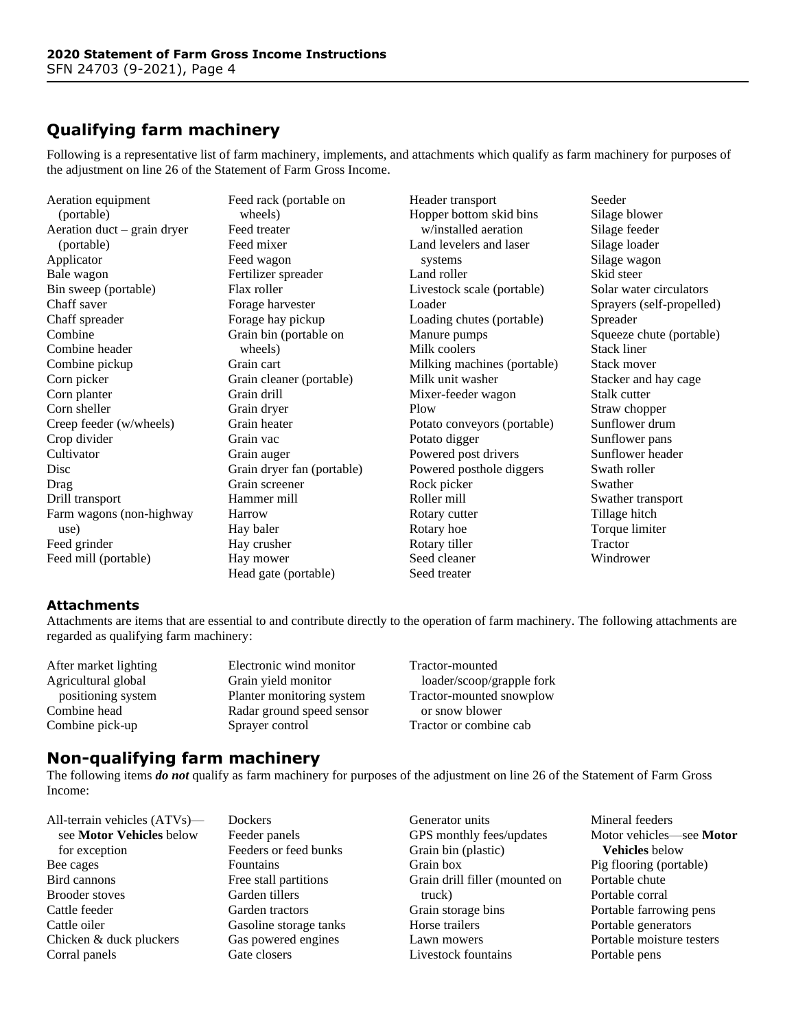## **Qualifying farm machinery**

Following is a representative list of farm machinery, implements, and attachments which qualify as farm machinery for purposes of the adjustment on line 26 of the Statement of Farm Gross Income.

Aeration equipment (portable) Aeration duct – grain dryer (portable) Applicator Bale wagon Bin sweep (portable) Chaff saver Chaff spreader Combine Combine header Combine pickup Corn picker Corn planter Corn sheller Creep feeder (w/wheels) Crop divider **Cultivator** Disc Drag Drill transport Farm wagons (non-highway use) Feed grinder Feed mill (portable)

Feed rack (portable on wheels) Feed treater Feed mixer Feed wagon Fertilizer spreader Flax roller Forage harvester Forage hay pickup Grain bin (portable on wheels) Grain cart Grain cleaner (portable) Grain drill Grain dryer Grain heater Grain vac Grain auger Grain dryer fan (portable) Grain screener Hammer mill Harrow Hay baler Hay crusher Hay mower Head gate (portable)

Header transport Hopper bottom skid bins w/installed aeration Land levelers and laser systems Land roller Livestock scale (portable) Loader Loading chutes (portable) Manure pumps Milk coolers Milking machines (portable) Milk unit washer Mixer-feeder wagon Plow Potato conveyors (portable) Potato digger Powered post drivers Powered posthole diggers Rock picker Roller mill Rotary cutter Rotary hoe Rotary tiller Seed cleaner Seed treater

Seeder Silage blower Silage feeder Silage loader Silage wagon Skid steer Solar water circulators Sprayers (self-propelled) Spreader Squeeze chute (portable) Stack liner Stack mover Stacker and hay cage Stalk cutter Straw chopper Sunflower drum Sunflower pans Sunflower header Swath roller Swather Swather transport Tillage hitch Torque limiter Tractor Windrower

#### **Attachments**

Attachments are items that are essential to and contribute directly to the operation of farm machinery. The following attachments are regarded as qualifying farm machinery:

After market lighting Agricultural global positioning system Combine head Combine pick-up

Electronic wind monitor Grain yield monitor Planter monitoring system Radar ground speed sensor Sprayer control

Tractor-mounted loader/scoop/grapple fork Tractor-mounted snowplow or snow blower Tractor or combine cab

## **Non-qualifying farm machinery**

The following items *do not* qualify as farm machinery for purposes of the adjustment on line 26 of the Statement of Farm Gross Income:

| All-terrain vehicles $(ATVs)$ —<br>see Motor Vehicles below |
|-------------------------------------------------------------|
| for exception                                               |
| Bee cages                                                   |
| Bird cannons                                                |
| Brooder stoves                                              |
| Cattle feeder                                               |
| Cattle oiler                                                |
| Chicken & duck pluckers                                     |
| Corral panels                                               |

Dockers Feeder panels Feeders or feed bunks Fountains Free stall partitions Garden tillers Garden tractors Gasoline storage tanks Gas powered engines Gate closers

Generator units GPS monthly fees/updates Grain bin (plastic) Grain box Grain drill filler (mounted on truck) Grain storage bins Horse trailers Lawn mowers Livestock fountains

Mineral feeders Motor vehicles—see **Motor Vehicles** below Pig flooring (portable) Portable chute Portable corral Portable farrowing pens Portable generators Portable moisture testers Portable pens